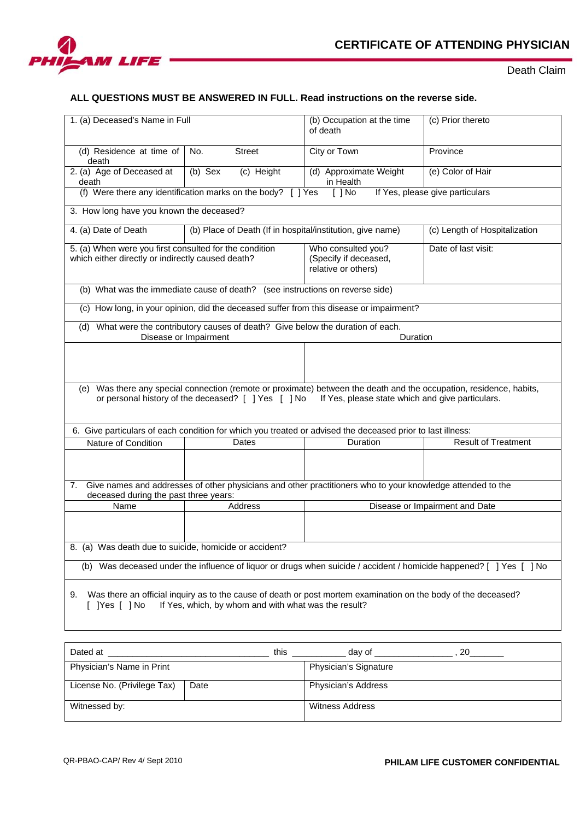

Death Claim

## **ALL QUESTIONS MUST BE ANSWERED IN FULL. Read instructions on the reverse side.**

| 1. (a) Deceased's Name in Full                                                                                                                                                                                                    |                                                            | (b) Occupation at the time<br>of death                             | (c) Prior thereto             |  |
|-----------------------------------------------------------------------------------------------------------------------------------------------------------------------------------------------------------------------------------|------------------------------------------------------------|--------------------------------------------------------------------|-------------------------------|--|
| (d) Residence at time of<br>death                                                                                                                                                                                                 | No.<br><b>Street</b>                                       | City or Town                                                       | Province                      |  |
| 2. (a) Age of Deceased at<br>death                                                                                                                                                                                                | (b) Sex<br>(c) Height                                      | (d) Approximate Weight<br>in Health                                | (e) Color of Hair             |  |
| (f) Were there any identification marks on the body? [ ] Yes<br>$\lceil$   No<br>If Yes, please give particulars                                                                                                                  |                                                            |                                                                    |                               |  |
| 3. How long have you known the deceased?                                                                                                                                                                                          |                                                            |                                                                    |                               |  |
| 4. (a) Date of Death                                                                                                                                                                                                              | (b) Place of Death (If in hospital/institution, give name) |                                                                    | (c) Length of Hospitalization |  |
| 5. (a) When were you first consulted for the condition<br>which either directly or indirectly caused death?                                                                                                                       |                                                            | Who consulted you?<br>(Specify if deceased,<br>relative or others) | Date of last visit:           |  |
| (b) What was the immediate cause of death? (see instructions on reverse side)                                                                                                                                                     |                                                            |                                                                    |                               |  |
| (c) How long, in your opinion, did the deceased suffer from this disease or impairment?                                                                                                                                           |                                                            |                                                                    |                               |  |
| (d) What were the contributory causes of death? Give below the duration of each.<br>Disease or Impairment<br>Duration                                                                                                             |                                                            |                                                                    |                               |  |
|                                                                                                                                                                                                                                   |                                                            |                                                                    |                               |  |
|                                                                                                                                                                                                                                   |                                                            |                                                                    |                               |  |
| Was there any special connection (remote or proximate) between the death and the occupation, residence, habits,<br>(e)<br>or personal history of the deceased? [ ] Yes [ ] No<br>If Yes, please state which and give particulars. |                                                            |                                                                    |                               |  |
| 6. Give particulars of each condition for which you treated or advised the deceased prior to last illness:                                                                                                                        |                                                            |                                                                    |                               |  |
| Nature of Condition                                                                                                                                                                                                               | Dates                                                      | Duration                                                           | <b>Result of Treatment</b>    |  |
|                                                                                                                                                                                                                                   |                                                            |                                                                    |                               |  |
| Give names and addresses of other physicians and other practitioners who to your knowledge attended to the<br>7.<br>deceased during the past three years:                                                                         |                                                            |                                                                    |                               |  |
| Name                                                                                                                                                                                                                              | Address<br>Disease or Impairment and Date                  |                                                                    |                               |  |
|                                                                                                                                                                                                                                   |                                                            |                                                                    |                               |  |
| 8. (a) Was death due to suicide, homicide or accident?                                                                                                                                                                            |                                                            |                                                                    |                               |  |
| (b) Was deceased under the influence of liquor or drugs when suicide / accident / homicide happened? [ ] Yes [ ] No                                                                                                               |                                                            |                                                                    |                               |  |
| Was there an official inquiry as to the cause of death or post mortem examination on the body of the deceased?<br>9.<br>If Yes, which, by whom and with what was the result?<br>[ ]Yes [ ]No                                      |                                                            |                                                                    |                               |  |

| Dated at                    | this | 20<br>dav of                 |
|-----------------------------|------|------------------------------|
| Physician's Name in Print   |      | <b>Physician's Signature</b> |
| License No. (Privilege Tax) | Date | Physician's Address          |
| Witnessed by:               |      | Witness Address              |